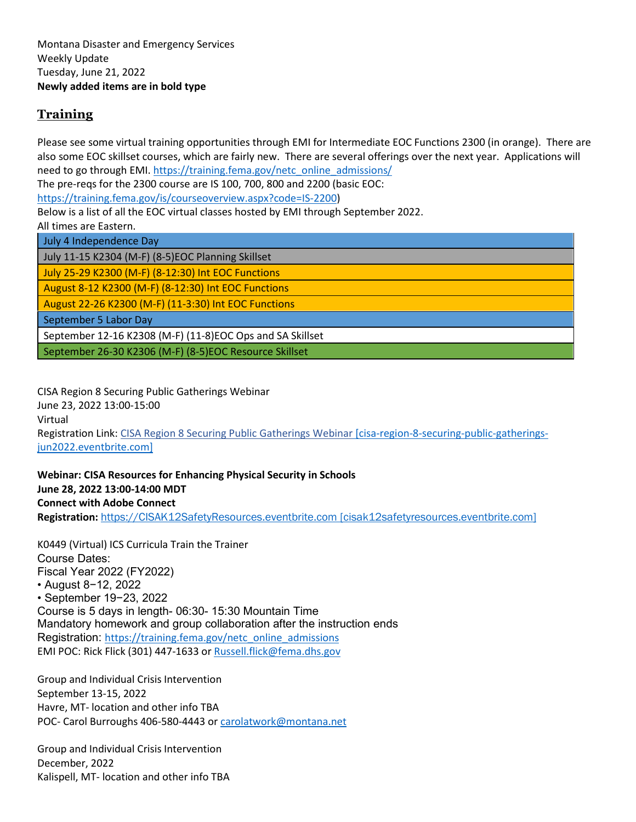#### **Training**

Please see some virtual training opportunities through EMI for Intermediate EOC Functions 2300 (in orange). There are also some EOC skillset courses, which are fairly new. There are several offerings over the next year. Applications will need to go through EMI[. https://training.fema.gov/netc\\_online\\_admissions/](https://training.fema.gov/netc_online_admissions/) The pre-reqs for the 2300 course are IS 100, 700, 800 and 2200 (basic EOC:

[https://training.fema.gov/is/courseoverview.aspx?code=IS-2200\)](https://training.fema.gov/is/courseoverview.aspx?code=IS-2200)

Below is a list of all the EOC virtual classes hosted by EMI through September 2022.

All times are Eastern.

| July 4 Independence Day                                   |
|-----------------------------------------------------------|
| July 11-15 K2304 (M-F) (8-5)EOC Planning Skillset         |
| July 25-29 K2300 (M-F) (8-12:30) Int EOC Functions        |
| August 8-12 K2300 (M-F) (8-12:30) Int EOC Functions       |
| August 22-26 K2300 (M-F) (11-3:30) Int EOC Functions      |
| September 5 Labor Day                                     |
| September 12-16 K2308 (M-F) (11-8)EOC Ops and SA Skillset |
| September 26-30 K2306 (M-F) (8-5)EOC Resource Skillset    |

CISA Region 8 Securing Public Gatherings Webinar June 23, 2022 13:00-15:00 Virtual Registration Link: [CISA Region 8 Securing Public Gatherings Webinar](https://urldefense.com/v3/__https:/cisa-region-8-securing-public-gatherings-jun2022.eventbrite.com/__;!!GaaboA!qyBQnQ11J7nBjSSEPnnqQ2aM-TMew4_mvZf982icB5oaFuPvFQeXHCmvwU5YHZDv19kf7EQv4Z3P0WA9jlsOuXplVkNq7gE$) [cisa-region-8-securing-public-gatherings[jun2022.eventbrite.com\]](https://urldefense.com/v3/__https:/cisa-region-8-securing-public-gatherings-jun2022.eventbrite.com/__;!!GaaboA!qyBQnQ11J7nBjSSEPnnqQ2aM-TMew4_mvZf982icB5oaFuPvFQeXHCmvwU5YHZDv19kf7EQv4Z3P0WA9jlsOuXplVkNq7gE$)

**Webinar: CISA Resources for Enhancing Physical Security in Schools June 28, 2022 13:00-14:00 MDT Connect with Adobe Connect**

**Registration:** [https://CISAK12SafetyResources.eventbrite.com \[cisak12safetyresources.eventbrite.com\]](https://urldefense.com/v3/__https:/cisak12safetyresources.eventbrite.com/__;!!GaaboA!plGSbkjbtCHYEqLAjwgYC5iMhwePh7LEW3nxxwFqyOE7aZeRl6uRD-ytLTLwF3tcOJwhb2LkPPme13fzKJTpyQVFe1TMwKo$)

K0449 (Virtual) ICS Curricula Train the Trainer Course Dates: Fiscal Year 2022 (FY2022) • August 8−12, 2022 • September 19−23, 2022 Course is 5 days in length- 06:30- 15:30 Mountain Time Mandatory homework and group collaboration after the instruction ends Registration: [https://training.fema.gov/netc\\_online\\_admissions](https://training.fema.gov/netc_online_admissions) EMI POC: Rick Flick (301) 447-1633 or [Russell.flick@fema.dhs.gov](mailto:Russell.flick@fema.dhs.gov)

Group and Individual Crisis Intervention September 13-15, 2022 Havre, MT- location and other info TBA POC- Carol Burroughs 406-580-4443 or [carolatwork@montana.net](mailto:carolatwork@montana.net)

Group and Individual Crisis Intervention December, 2022 Kalispell, MT- location and other info TBA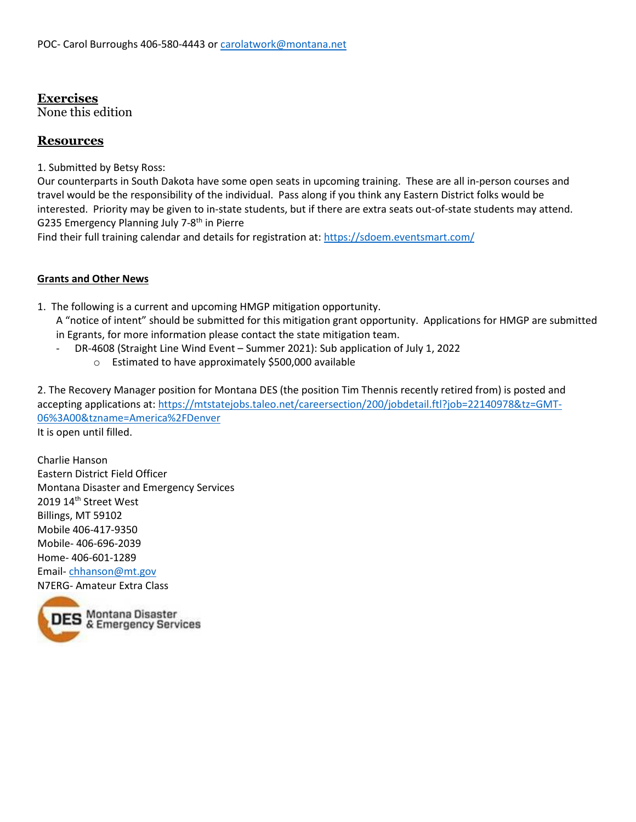#### **Exercises**

None this edition

#### **Resources**

1. Submitted by Betsy Ross:

Our counterparts in South Dakota have some open seats in upcoming training. These are all in-person courses and travel would be the responsibility of the individual. Pass along if you think any Eastern District folks would be interested. Priority may be given to in-state students, but if there are extra seats out-of-state students may attend. G235 Emergency Planning July 7-8th in Pierre

Find their full training calendar and details for registration at:<https://sdoem.eventsmart.com/>

#### **Grants and Other News**

1. The following is a current and upcoming HMGP mitigation opportunity.

A "notice of intent" should be submitted for this mitigation grant opportunity. Applications for HMGP are submitted in Egrants, for more information please contact the state mitigation team.

- DR-4608 (Straight Line Wind Event Summer 2021): Sub application of July 1, 2022
	- o Estimated to have approximately \$500,000 available

2. The Recovery Manager position for Montana DES (the position Tim Thennis recently retired from) is posted and accepting applications at: [https://mtstatejobs.taleo.net/careersection/200/jobdetail.ftl?job=22140978&tz=GMT-](https://mtstatejobs.taleo.net/careersection/200/jobdetail.ftl?job=22140978&tz=GMT-06%3A00&tzname=America%2FDenver)[06%3A00&tzname=America%2FDenver](https://mtstatejobs.taleo.net/careersection/200/jobdetail.ftl?job=22140978&tz=GMT-06%3A00&tzname=America%2FDenver)

It is open until filled.

Charlie Hanson Eastern District Field Officer Montana Disaster and Emergency Services 2019 14th Street West Billings, MT 59102 Mobile 406-417-9350 Mobile- 406-696-2039 Home- 406-601-1289 Email- [chhanson@mt.gov](mailto:chhanson@mt.gov) N7ERG- Amateur Extra Class